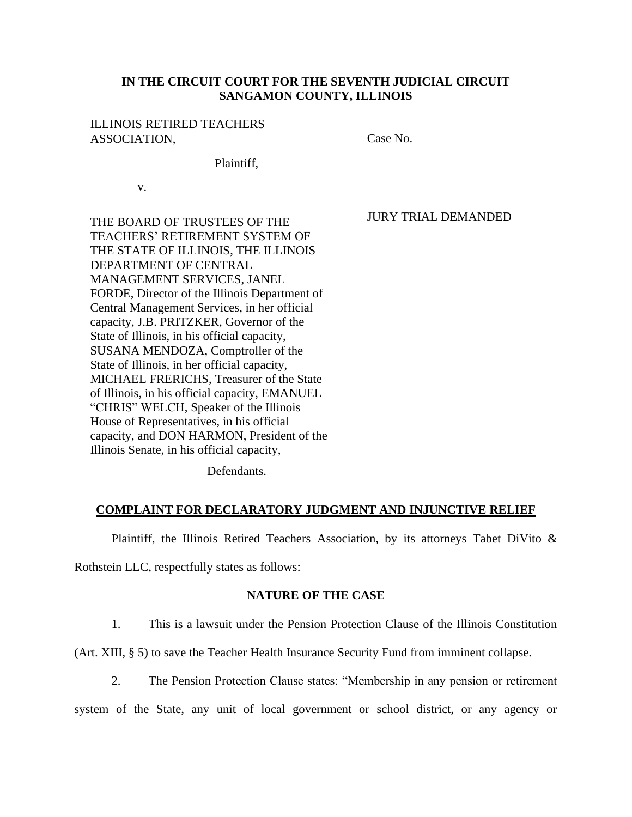### **IN THE CIRCUIT COURT FOR THE SEVENTH JUDICIAL CIRCUIT SANGAMON COUNTY, ILLINOIS**

### ILLINOIS RETIRED TEACHERS ASSOCIATION, Case No.

Plaintiff,

v.

THE BOARD OF TRUSTEES OF THE TEACHERS' RETIREMENT SYSTEM OF THE STATE OF ILLINOIS, THE ILLINOIS DEPARTMENT OF CENTRAL MANAGEMENT SERVICES, JANEL FORDE, Director of the Illinois Department of Central Management Services, in her official capacity, J.B. PRITZKER, Governor of the State of Illinois, in his official capacity, SUSANA MENDOZA, Comptroller of the State of Illinois, in her official capacity, MICHAEL FRERICHS, Treasurer of the State of Illinois, in his official capacity, EMANUEL "CHRIS" WELCH, Speaker of the Illinois House of Representatives, in his official capacity, and DON HARMON, President of the Illinois Senate, in his official capacity,

JURY TRIAL DEMANDED

Defendants.

### **COMPLAINT FOR DECLARATORY JUDGMENT AND INJUNCTIVE RELIEF**

Plaintiff, the Illinois Retired Teachers Association, by its attorneys Tabet DiVito &

Rothstein LLC, respectfully states as follows:

### **NATURE OF THE CASE**

1. This is a lawsuit under the Pension Protection Clause of the Illinois Constitution

(Art. XIII, § 5) to save the Teacher Health Insurance Security Fund from imminent collapse.

2. The Pension Protection Clause states: "Membership in any pension or retirement system of the State, any unit of local government or school district, or any agency or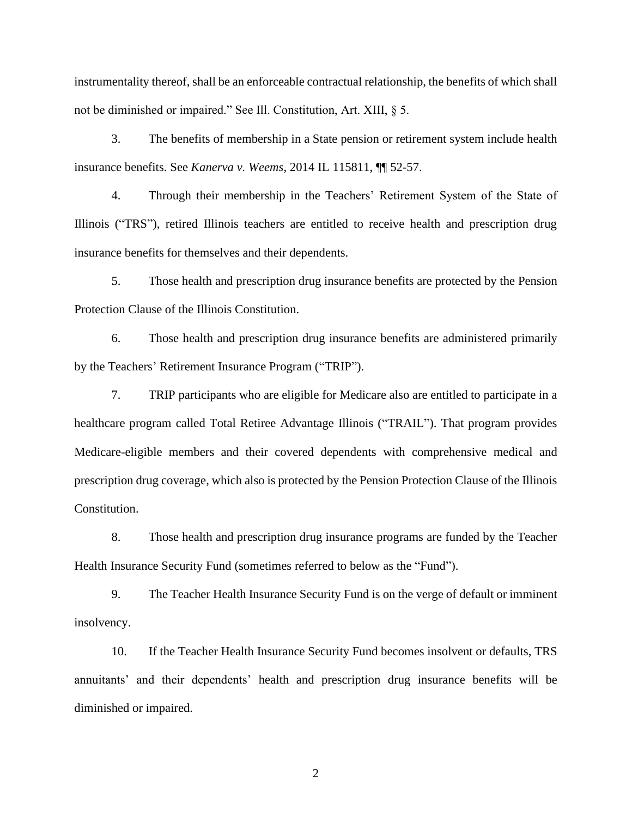instrumentality thereof, shall be an enforceable contractual relationship, the benefits of which shall not be diminished or impaired." See Ill. Constitution, Art. XIII, § 5.

3. The benefits of membership in a State pension or retirement system include health insurance benefits. See *Kanerva v. Weems*, 2014 IL 115811, ¶¶ 52-57.

4. Through their membership in the Teachers' Retirement System of the State of Illinois ("TRS"), retired Illinois teachers are entitled to receive health and prescription drug insurance benefits for themselves and their dependents.

5. Those health and prescription drug insurance benefits are protected by the Pension Protection Clause of the Illinois Constitution.

6. Those health and prescription drug insurance benefits are administered primarily by the Teachers' Retirement Insurance Program ("TRIP").

7. TRIP participants who are eligible for Medicare also are entitled to participate in a healthcare program called Total Retiree Advantage Illinois ("TRAIL"). That program provides Medicare-eligible members and their covered dependents with comprehensive medical and prescription drug coverage, which also is protected by the Pension Protection Clause of the Illinois Constitution.

8. Those health and prescription drug insurance programs are funded by the Teacher Health Insurance Security Fund (sometimes referred to below as the "Fund").

9. The Teacher Health Insurance Security Fund is on the verge of default or imminent insolvency.

10. If the Teacher Health Insurance Security Fund becomes insolvent or defaults, TRS annuitants' and their dependents' health and prescription drug insurance benefits will be diminished or impaired.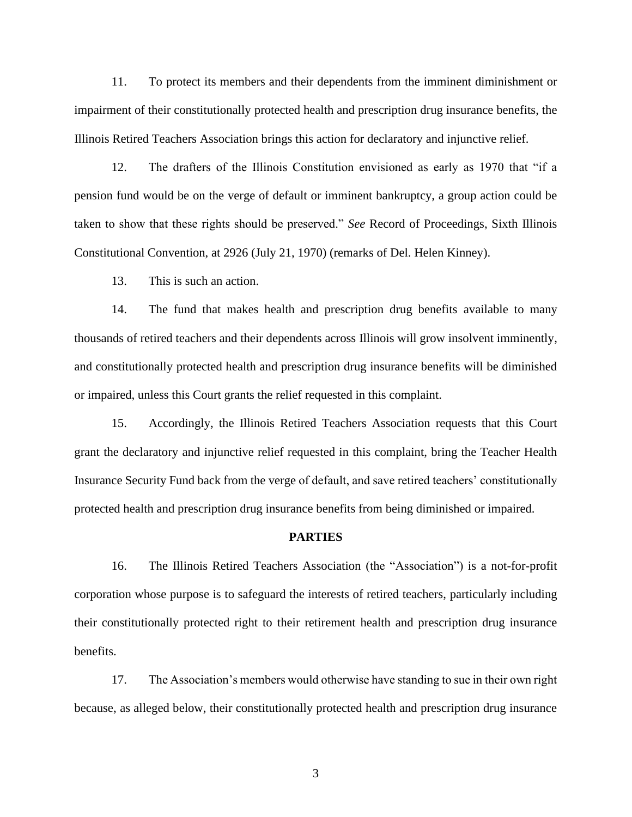11. To protect its members and their dependents from the imminent diminishment or impairment of their constitutionally protected health and prescription drug insurance benefits, the Illinois Retired Teachers Association brings this action for declaratory and injunctive relief.

12. The drafters of the Illinois Constitution envisioned as early as 1970 that "if a pension fund would be on the verge of default or imminent bankruptcy, a group action could be taken to show that these rights should be preserved." *See* Record of Proceedings, Sixth Illinois Constitutional Convention, at 2926 (July 21, 1970) (remarks of Del. Helen Kinney).

13. This is such an action.

14. The fund that makes health and prescription drug benefits available to many thousands of retired teachers and their dependents across Illinois will grow insolvent imminently, and constitutionally protected health and prescription drug insurance benefits will be diminished or impaired, unless this Court grants the relief requested in this complaint.

15. Accordingly, the Illinois Retired Teachers Association requests that this Court grant the declaratory and injunctive relief requested in this complaint, bring the Teacher Health Insurance Security Fund back from the verge of default, and save retired teachers' constitutionally protected health and prescription drug insurance benefits from being diminished or impaired.

#### **PARTIES**

16. The Illinois Retired Teachers Association (the "Association") is a not-for-profit corporation whose purpose is to safeguard the interests of retired teachers, particularly including their constitutionally protected right to their retirement health and prescription drug insurance benefits.

17. The Association's members would otherwise have standing to sue in their own right because, as alleged below, their constitutionally protected health and prescription drug insurance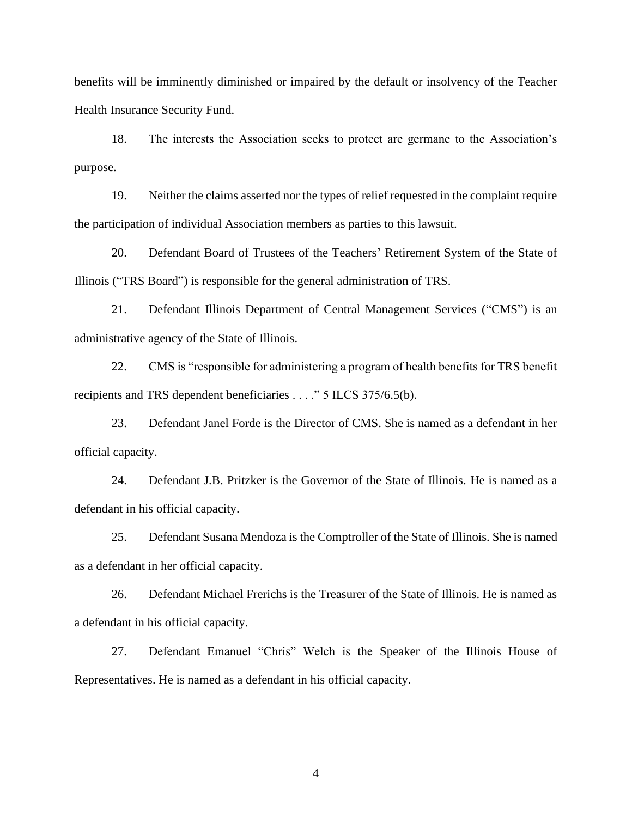benefits will be imminently diminished or impaired by the default or insolvency of the Teacher Health Insurance Security Fund.

18. The interests the Association seeks to protect are germane to the Association's purpose.

19. Neither the claims asserted nor the types of relief requested in the complaint require the participation of individual Association members as parties to this lawsuit.

20. Defendant Board of Trustees of the Teachers' Retirement System of the State of Illinois ("TRS Board") is responsible for the general administration of TRS.

21. Defendant Illinois Department of Central Management Services ("CMS") is an administrative agency of the State of Illinois.

22. CMS is "responsible for administering a program of health benefits for TRS benefit recipients and TRS dependent beneficiaries . . . ." 5 ILCS 375/6.5(b).

23. Defendant Janel Forde is the Director of CMS. She is named as a defendant in her official capacity.

24. Defendant J.B. Pritzker is the Governor of the State of Illinois. He is named as a defendant in his official capacity.

25. Defendant Susana Mendoza is the Comptroller of the State of Illinois. She is named as a defendant in her official capacity.

26. Defendant Michael Frerichs is the Treasurer of the State of Illinois. He is named as a defendant in his official capacity.

27. Defendant Emanuel "Chris" Welch is the Speaker of the Illinois House of Representatives. He is named as a defendant in his official capacity.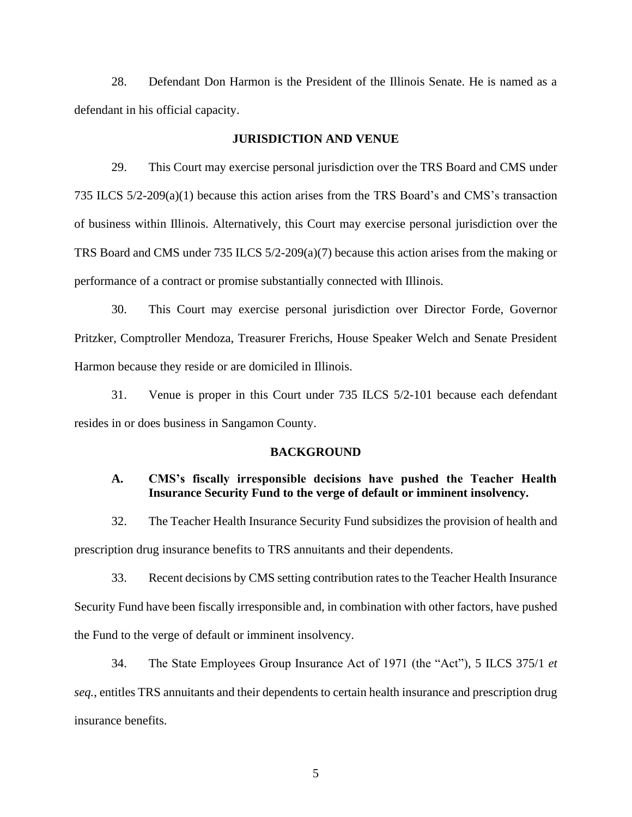28. Defendant Don Harmon is the President of the Illinois Senate. He is named as a defendant in his official capacity.

#### **JURISDICTION AND VENUE**

29. This Court may exercise personal jurisdiction over the TRS Board and CMS under 735 ILCS 5/2-209(a)(1) because this action arises from the TRS Board's and CMS's transaction of business within Illinois. Alternatively, this Court may exercise personal jurisdiction over the TRS Board and CMS under 735 ILCS 5/2-209(a)(7) because this action arises from the making or performance of a contract or promise substantially connected with Illinois.

30. This Court may exercise personal jurisdiction over Director Forde, Governor Pritzker, Comptroller Mendoza, Treasurer Frerichs, House Speaker Welch and Senate President Harmon because they reside or are domiciled in Illinois.

31. Venue is proper in this Court under 735 ILCS 5/2-101 because each defendant resides in or does business in Sangamon County.

#### **BACKGROUND**

### **A. CMS's fiscally irresponsible decisions have pushed the Teacher Health Insurance Security Fund to the verge of default or imminent insolvency.**

32. The Teacher Health Insurance Security Fund subsidizes the provision of health and prescription drug insurance benefits to TRS annuitants and their dependents.

33. Recent decisions by CMS setting contribution rates to the Teacher Health Insurance Security Fund have been fiscally irresponsible and, in combination with other factors, have pushed the Fund to the verge of default or imminent insolvency.

34. The State Employees Group Insurance Act of 1971 (the "Act"), 5 ILCS 375/1 *et seq.*, entitles TRS annuitants and their dependents to certain health insurance and prescription drug insurance benefits.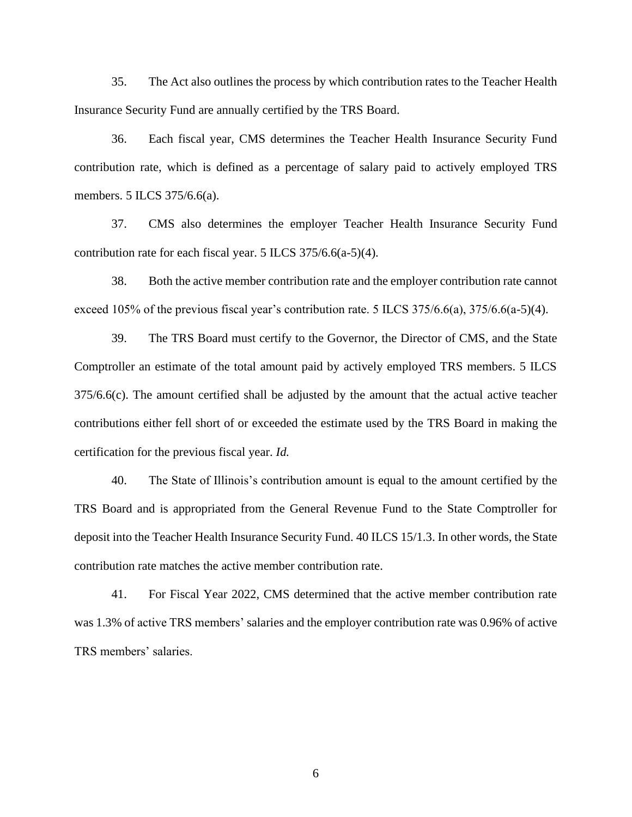35. The Act also outlines the process by which contribution rates to the Teacher Health Insurance Security Fund are annually certified by the TRS Board.

36. Each fiscal year, CMS determines the Teacher Health Insurance Security Fund contribution rate, which is defined as a percentage of salary paid to actively employed TRS members. 5 ILCS 375/6.6(a).

37. CMS also determines the employer Teacher Health Insurance Security Fund contribution rate for each fiscal year. 5 ILCS 375/6.6(a-5)(4).

38. Both the active member contribution rate and the employer contribution rate cannot exceed 105% of the previous fiscal year's contribution rate. 5 ILCS 375/6.6(a), 375/6.6(a-5)(4).

39. The TRS Board must certify to the Governor, the Director of CMS, and the State Comptroller an estimate of the total amount paid by actively employed TRS members. 5 ILCS 375/6.6(c). The amount certified shall be adjusted by the amount that the actual active teacher contributions either fell short of or exceeded the estimate used by the TRS Board in making the certification for the previous fiscal year. *Id.*

40. The State of Illinois's contribution amount is equal to the amount certified by the TRS Board and is appropriated from the General Revenue Fund to the State Comptroller for deposit into the Teacher Health Insurance Security Fund. 40 ILCS 15/1.3. In other words, the State contribution rate matches the active member contribution rate.

41. For Fiscal Year 2022, CMS determined that the active member contribution rate was 1.3% of active TRS members' salaries and the employer contribution rate was 0.96% of active TRS members' salaries.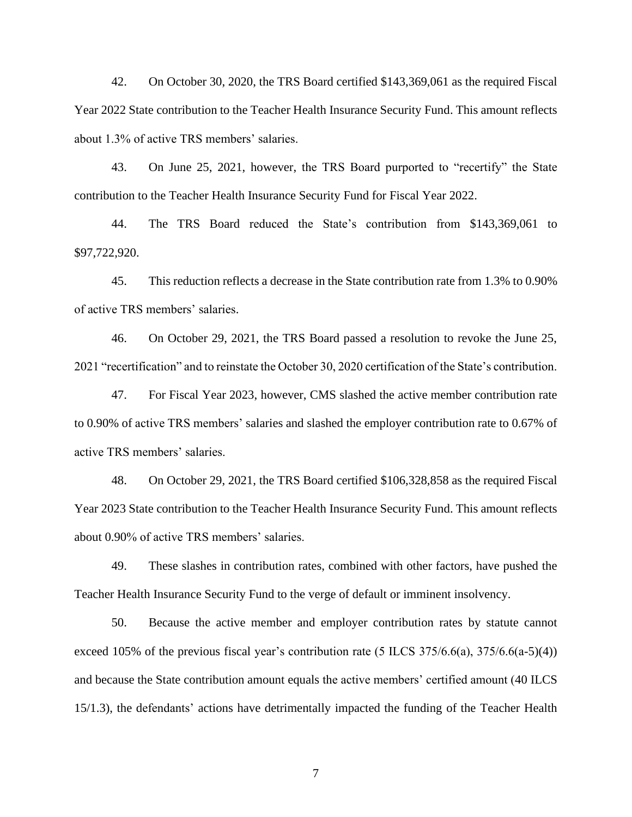42. On October 30, 2020, the TRS Board certified \$143,369,061 as the required Fiscal Year 2022 State contribution to the Teacher Health Insurance Security Fund. This amount reflects about 1.3% of active TRS members' salaries.

43. On June 25, 2021, however, the TRS Board purported to "recertify" the State contribution to the Teacher Health Insurance Security Fund for Fiscal Year 2022.

44. The TRS Board reduced the State's contribution from \$143,369,061 to \$97,722,920.

45. This reduction reflects a decrease in the State contribution rate from 1.3% to 0.90% of active TRS members' salaries.

46. On October 29, 2021, the TRS Board passed a resolution to revoke the June 25, 2021 "recertification" and to reinstate the October 30, 2020 certification of the State's contribution.

47. For Fiscal Year 2023, however, CMS slashed the active member contribution rate to 0.90% of active TRS members' salaries and slashed the employer contribution rate to 0.67% of active TRS members' salaries.

48. On October 29, 2021, the TRS Board certified \$106,328,858 as the required Fiscal Year 2023 State contribution to the Teacher Health Insurance Security Fund. This amount reflects about 0.90% of active TRS members' salaries.

49. These slashes in contribution rates, combined with other factors, have pushed the Teacher Health Insurance Security Fund to the verge of default or imminent insolvency.

50. Because the active member and employer contribution rates by statute cannot exceed 105% of the previous fiscal year's contribution rate  $(5$  ILCS 375/6.6(a), 375/6.6(a-5)(4)) and because the State contribution amount equals the active members' certified amount (40 ILCS 15/1.3), the defendants' actions have detrimentally impacted the funding of the Teacher Health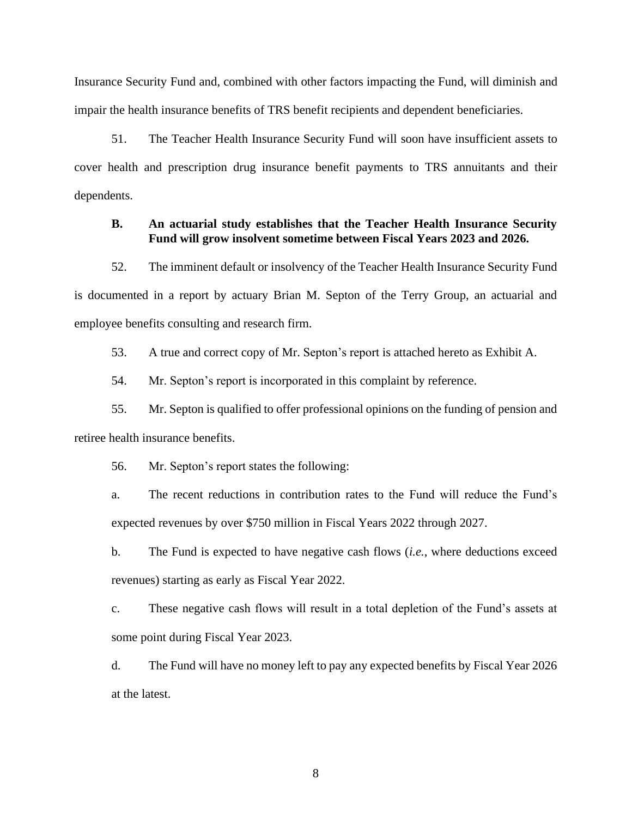Insurance Security Fund and, combined with other factors impacting the Fund, will diminish and impair the health insurance benefits of TRS benefit recipients and dependent beneficiaries.

51. The Teacher Health Insurance Security Fund will soon have insufficient assets to cover health and prescription drug insurance benefit payments to TRS annuitants and their dependents.

### **B. An actuarial study establishes that the Teacher Health Insurance Security Fund will grow insolvent sometime between Fiscal Years 2023 and 2026.**

52. The imminent default or insolvency of the Teacher Health Insurance Security Fund is documented in a report by actuary Brian M. Septon of the Terry Group, an actuarial and employee benefits consulting and research firm.

53. A true and correct copy of Mr. Septon's report is attached hereto as Exhibit A.

54. Mr. Septon's report is incorporated in this complaint by reference.

55. Mr. Septon is qualified to offer professional opinions on the funding of pension and retiree health insurance benefits.

56. Mr. Septon's report states the following:

a. The recent reductions in contribution rates to the Fund will reduce the Fund's expected revenues by over \$750 million in Fiscal Years 2022 through 2027.

b. The Fund is expected to have negative cash flows (*i.e.*, where deductions exceed revenues) starting as early as Fiscal Year 2022.

c. These negative cash flows will result in a total depletion of the Fund's assets at some point during Fiscal Year 2023.

d. The Fund will have no money left to pay any expected benefits by Fiscal Year 2026 at the latest.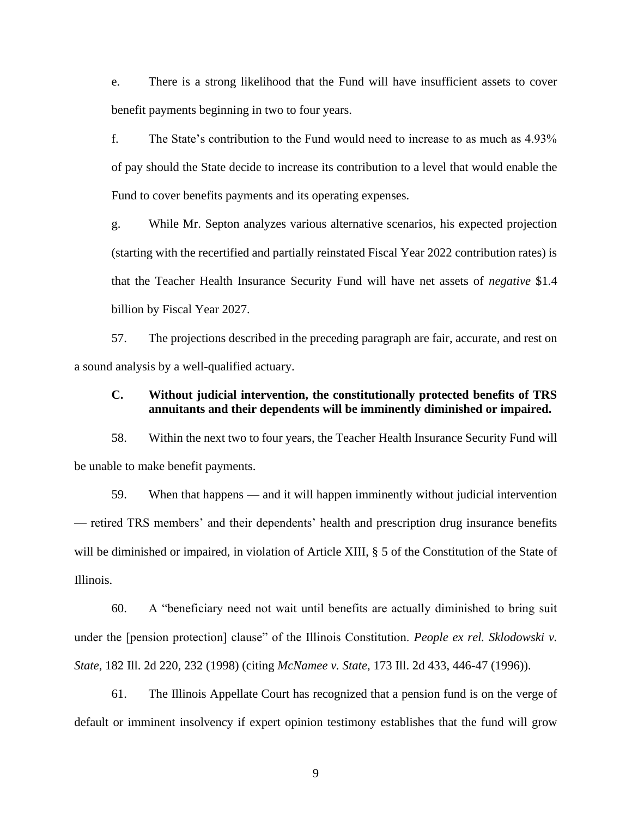e. There is a strong likelihood that the Fund will have insufficient assets to cover benefit payments beginning in two to four years.

f. The State's contribution to the Fund would need to increase to as much as 4.93% of pay should the State decide to increase its contribution to a level that would enable the Fund to cover benefits payments and its operating expenses.

g. While Mr. Septon analyzes various alternative scenarios, his expected projection (starting with the recertified and partially reinstated Fiscal Year 2022 contribution rates) is that the Teacher Health Insurance Security Fund will have net assets of *negative* \$1.4 billion by Fiscal Year 2027.

57. The projections described in the preceding paragraph are fair, accurate, and rest on a sound analysis by a well-qualified actuary.

### **C. Without judicial intervention, the constitutionally protected benefits of TRS annuitants and their dependents will be imminently diminished or impaired.**

58. Within the next two to four years, the Teacher Health Insurance Security Fund will be unable to make benefit payments.

59. When that happens — and it will happen imminently without judicial intervention — retired TRS members' and their dependents' health and prescription drug insurance benefits will be diminished or impaired, in violation of Article XIII, § 5 of the Constitution of the State of Illinois.

60. A "beneficiary need not wait until benefits are actually diminished to bring suit under the [pension protection] clause" of the Illinois Constitution. *People ex rel. Sklodowski v. State*, 182 Ill. 2d 220, 232 (1998) (citing *McNamee v. State*, 173 Ill. 2d 433, 446-47 (1996)).

61. The Illinois Appellate Court has recognized that a pension fund is on the verge of default or imminent insolvency if expert opinion testimony establishes that the fund will grow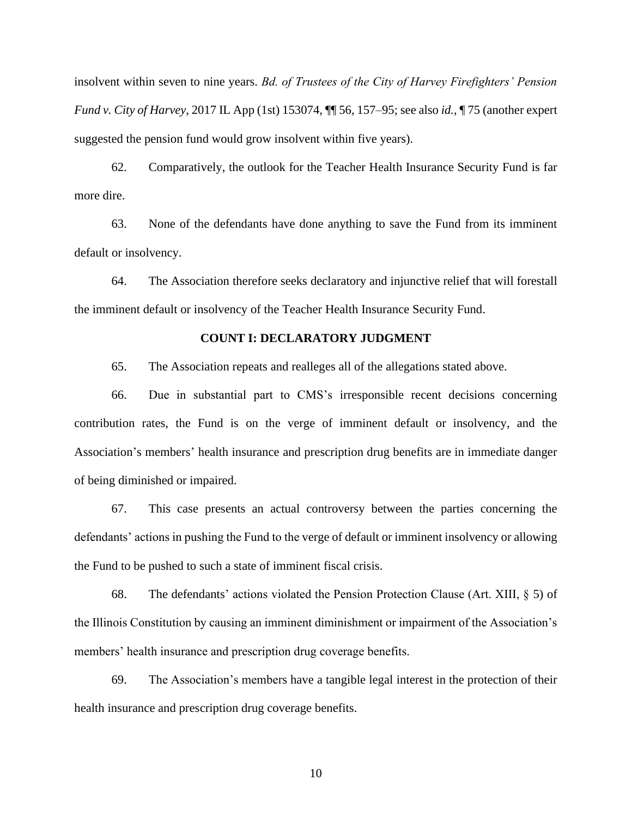insolvent within seven to nine years. *Bd. of Trustees of the City of Harvey Firefighters' Pension Fund v. City of Harvey*, 2017 IL App (1st) 153074, ¶¶ 56, 157–95; see also *id.*, ¶ 75 (another expert suggested the pension fund would grow insolvent within five years).

62. Comparatively, the outlook for the Teacher Health Insurance Security Fund is far more dire.

63. None of the defendants have done anything to save the Fund from its imminent default or insolvency.

64. The Association therefore seeks declaratory and injunctive relief that will forestall the imminent default or insolvency of the Teacher Health Insurance Security Fund.

#### **COUNT I: DECLARATORY JUDGMENT**

65. The Association repeats and realleges all of the allegations stated above.

66. Due in substantial part to CMS's irresponsible recent decisions concerning contribution rates, the Fund is on the verge of imminent default or insolvency, and the Association's members' health insurance and prescription drug benefits are in immediate danger of being diminished or impaired.

67. This case presents an actual controversy between the parties concerning the defendants' actions in pushing the Fund to the verge of default or imminent insolvency or allowing the Fund to be pushed to such a state of imminent fiscal crisis.

68. The defendants' actions violated the Pension Protection Clause (Art. XIII, § 5) of the Illinois Constitution by causing an imminent diminishment or impairment of the Association's members' health insurance and prescription drug coverage benefits.

69. The Association's members have a tangible legal interest in the protection of their health insurance and prescription drug coverage benefits.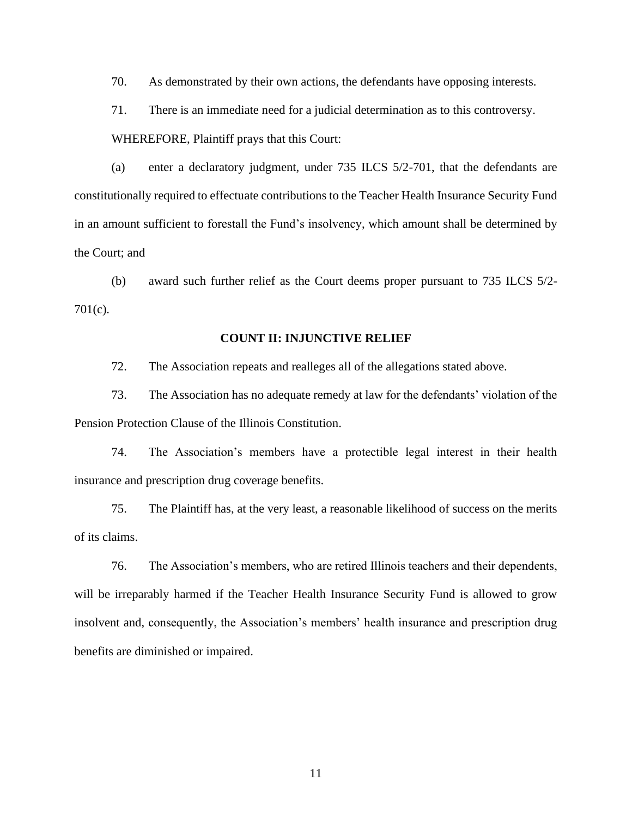70. As demonstrated by their own actions, the defendants have opposing interests.

71. There is an immediate need for a judicial determination as to this controversy. WHEREFORE, Plaintiff prays that this Court:

(a) enter a declaratory judgment, under 735 ILCS 5/2-701, that the defendants are constitutionally required to effectuate contributions to the Teacher Health Insurance Security Fund in an amount sufficient to forestall the Fund's insolvency, which amount shall be determined by the Court; and

(b) award such further relief as the Court deems proper pursuant to 735 ILCS 5/2- 701(c).

#### **COUNT II: INJUNCTIVE RELIEF**

72. The Association repeats and realleges all of the allegations stated above.

73. The Association has no adequate remedy at law for the defendants' violation of the Pension Protection Clause of the Illinois Constitution.

74. The Association's members have a protectible legal interest in their health insurance and prescription drug coverage benefits.

75. The Plaintiff has, at the very least, a reasonable likelihood of success on the merits of its claims.

76. The Association's members, who are retired Illinois teachers and their dependents, will be irreparably harmed if the Teacher Health Insurance Security Fund is allowed to grow insolvent and, consequently, the Association's members' health insurance and prescription drug benefits are diminished or impaired.